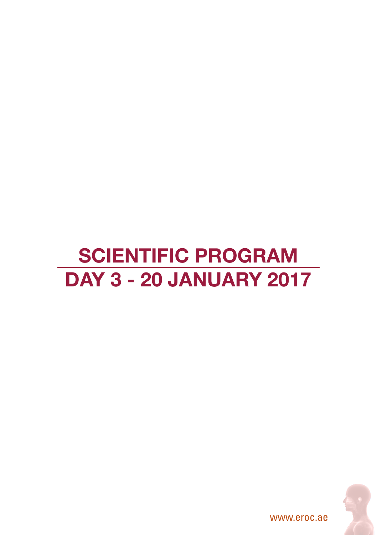## SCIENTIFIC PROGRAM DAY 3 - 20 JANUARY 2017



www.eroc.ae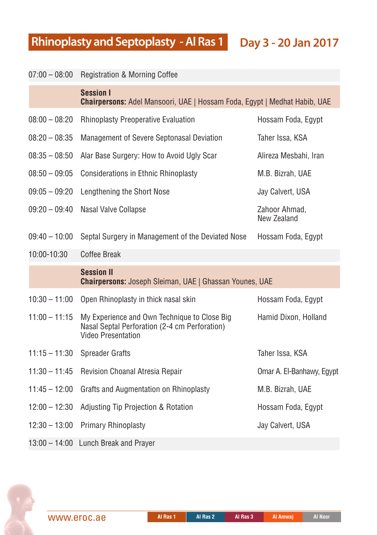**Rhinoplasty and Septoplasty - Al Ras 1 Day 3 - 20 Jan 2017** 

| $07:00 - 08:00$ | Registration & Morning Coffee                                                                                              |                                     |
|-----------------|----------------------------------------------------------------------------------------------------------------------------|-------------------------------------|
|                 | <b>Session I</b><br><b>Chairpersons:</b> Adel Mansoori, UAE   Hossam Foda, Egypt   Medhat Habib, UAE                       |                                     |
| $08:00 - 08:20$ | <b>Rhinoplasty Preoperative Evaluation</b>                                                                                 | Hossam Foda, Egypt                  |
| $08:20 - 08:35$ | Management of Severe Septonasal Deviation                                                                                  | Taher Issa, KSA                     |
| $08:35 - 08:50$ | Alar Base Surgery: How to Avoid Ugly Scar                                                                                  | Alireza Mesbahi, Iran               |
| $08:50 - 09:05$ | <b>Considerations in Ethnic Rhinoplasty</b>                                                                                | M.B. Bizrah, UAE                    |
| $09:05 - 09:20$ | Lengthening the Short Nose                                                                                                 | Jay Calvert, USA                    |
| $09:20 - 09:40$ | Nasal Valve Collapse                                                                                                       | Zahoor Ahmad,<br><b>New Zealand</b> |
| $09:40 - 10:00$ | Septal Surgery in Management of the Deviated Nose                                                                          | Hossam Foda, Egypt                  |
| 10:00-10:30     | <b>Coffee Break</b>                                                                                                        |                                     |
|                 | <b>Session II</b><br><b>Chairpersons:</b> Joseph Sleiman, UAE   Ghassan Younes, UAE                                        |                                     |
| $10:30 - 11:00$ | Open Rhinoplasty in thick nasal skin                                                                                       | Hossam Foda, Egypt                  |
| $11:00 - 11:15$ | My Experience and Own Technique to Close Big<br>Nasal Septal Perforation (2-4 cm Perforation)<br><b>Video Presentation</b> | Hamid Dixon, Holland                |
| $11:15 - 11:30$ | <b>Spreader Grafts</b>                                                                                                     | Taher Issa, KSA                     |
| $11:30 - 11:45$ | Revision Choanal Atresia Repair                                                                                            | Omar A. El-Banhawy, Egypt           |
| $11:45 - 12:00$ | <b>Grafts and Augmentation on Rhinoplasty</b>                                                                              | M.B. Bizrah, UAE                    |
| $12:00 - 12:30$ | Adjusting Tip Projection & Rotation                                                                                        | Hossam Foda, Egypt                  |
| $12:30 - 13:00$ | <b>Primary Rhinoplasty</b>                                                                                                 | Jay Calvert, USA                    |
| $13:00 - 14:00$ | <b>Lunch Break and Prayer</b>                                                                                              |                                     |



**Al Ras 1 Al Ras 2 Al Ras 3 Al Amwaj Al Noor**